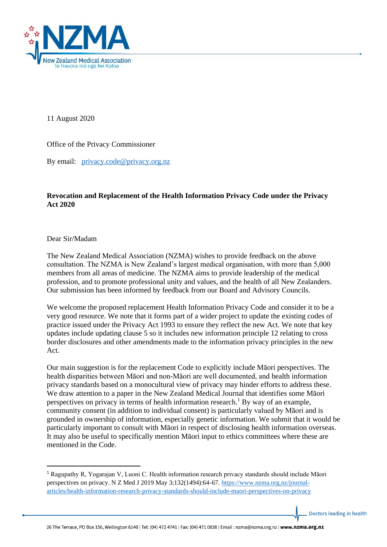

11 August 2020

Office of the Privacy Commissioner

By email: [privacy.code@privacy.org.nz](mailto:privacy.code@privacy.org.nz)

## **Revocation and Replacement of the Health Information Privacy Code under the Privacy Act 2020**

## Dear Sir/Madam

The New Zealand Medical Association (NZMA) wishes to provide feedback on the above consultation. The NZMA is New Zealand's largest medical organisation, with more than 5,000 members from all areas of medicine. The NZMA aims to provide leadership of the medical profession, and to promote professional unity and values, and the health of all New Zealanders. Our submission has been informed by feedback from our Board and Advisory Councils.

We welcome the proposed replacement Health Information Privacy Code and consider it to be a very good resource. We note that it forms part of a wider project to update the existing codes of practice issued under the Privacy Act 1993 to ensure they reflect the new Act. We note that key updates include updating clause 5 so it includes new information principle 12 relating to cross border disclosures and other amendments made to the information privacy principles in the new Act.

Our main suggestion is for the replacement Code to explicitly include Māori perspectives. The health disparities between Māori and non-Māori are well documented, and health information privacy standards based on a monocultural view of privacy may hinder efforts to address these. We draw attention to a paper in the New Zealand Medical Journal that identifies some Māori perspectives on privacy in terms of health information research.<sup>1</sup> By way of an example, community consent (in addition to individual consent) is particularly valued by Māori and is grounded in ownership of information, especially genetic information. We submit that it would be particularly important to consult with Māori in respect of disclosing health information overseas. It may also be useful to specifically mention Māori input to ethics committees where these are mentioned in the Code.

Doctors leading in health

<sup>1</sup> Ragupathy R, Yogarajan V, Luoni C. Health information research privacy standards should include Māori perspectives on privacy. N Z Med J 2019 May 3;132(1494):64-67. [https://www.nzma.org.nz/journal](https://www.nzma.org.nz/journal-articles/health-information-research-privacy-standards-should-include-maori-perspectives-on-privacy)[articles/health-information-research-privacy-standards-should-include-maori-perspectives-on-privacy](https://www.nzma.org.nz/journal-articles/health-information-research-privacy-standards-should-include-maori-perspectives-on-privacy)